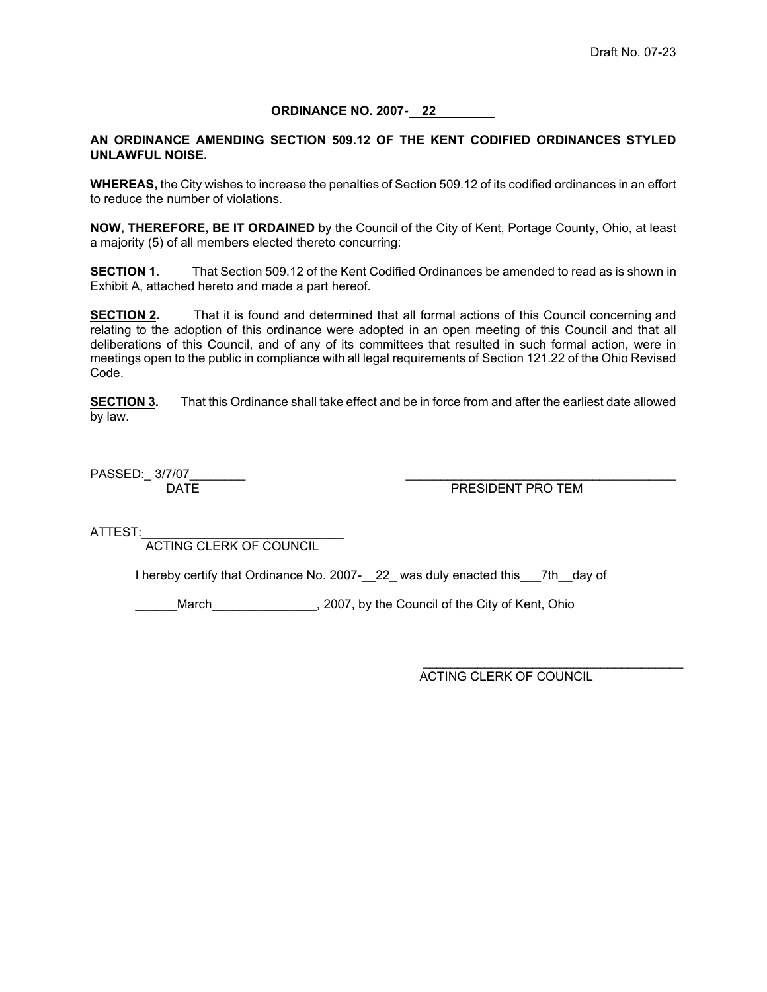**ORDINANCE NO. 2007- 22** 

## **AN ORDINANCE AMENDING SECTION 509.12 OF THE KENT CODIFIED ORDINANCES STYLED UNLAWFUL NOISE.**

**WHEREAS,** the City wishes to increase the penalties of Section 509.12 of its codified ordinances in an effort to reduce the number of violations.

**NOW, THEREFORE, BE IT ORDAINED** by the Council of the City of Kent, Portage County, Ohio, at least a majority (5) of all members elected thereto concurring:

**SECTION 1.** That Section 509.12 of the Kent Codified Ordinances be amended to read as is shown in Exhibit A, attached hereto and made a part hereof.

**SECTION 2.** That it is found and determined that all formal actions of this Council concerning and relating to the adoption of this ordinance were adopted in an open meeting of this Council and that all deliberations of this Council, and of any of its committees that resulted in such formal action, were in meetings open to the public in compliance with all legal requirements of Section 121.22 of the Ohio Revised Code.

**SECTION 3.** That this Ordinance shall take effect and be in force from and after the earliest date allowed by law.

PASSED:\_ 3/7/07\_\_\_\_\_\_\_\_ \_\_\_\_\_\_\_\_\_\_\_\_\_\_\_\_\_\_\_\_\_\_\_\_\_\_\_\_\_\_\_\_\_\_\_\_\_\_\_

PRESIDENT PRO TEM

ATTEST:

ACTING CLERK OF COUNCIL

I hereby certify that Ordinance No. 2007-22\_ was duly enacted this 7th day of

March\_\_\_\_\_\_\_\_\_\_\_\_\_\_, 2007, by the Council of the City of Kent, Ohio

 $\frac{1}{\sqrt{2}}$  , and the contract of the contract of the contract of the contract of the contract of the contract of the contract of the contract of the contract of the contract of the contract of the contract of the contra ACTING CLERK OF COUNCIL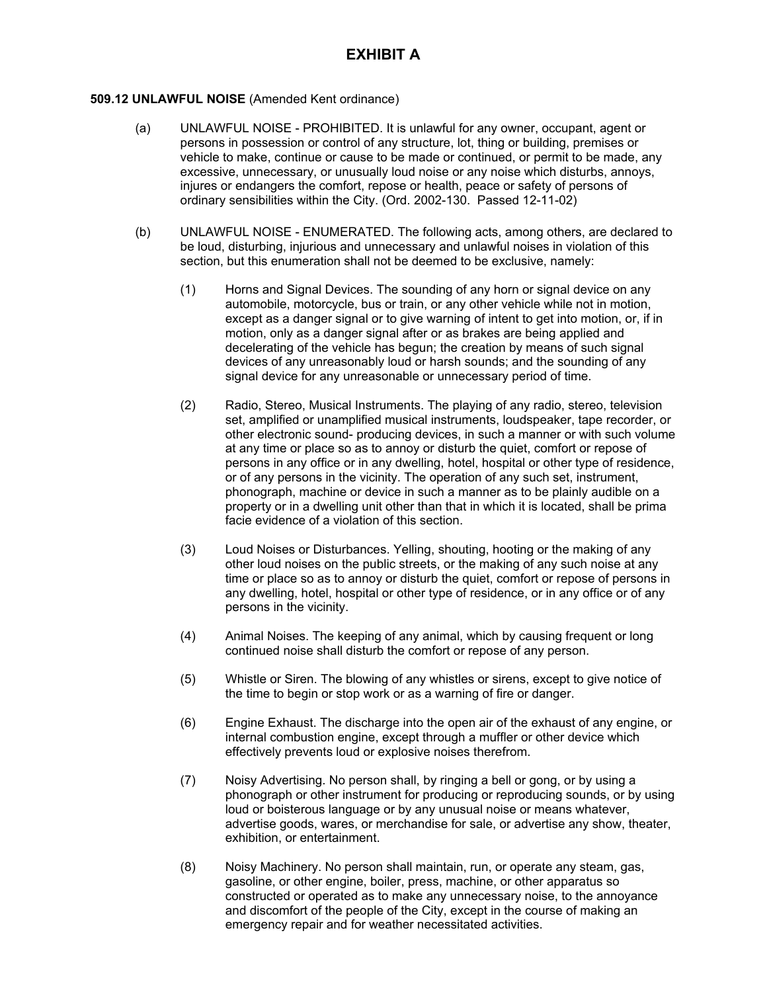## **509.12 UNLAWFUL NOISE** (Amended Kent ordinance)

- (a) UNLAWFUL NOISE PROHIBITED. It is unlawful for any owner, occupant, agent or persons in possession or control of any structure, lot, thing or building, premises or vehicle to make, continue or cause to be made or continued, or permit to be made, any excessive, unnecessary, or unusually loud noise or any noise which disturbs, annoys, injures or endangers the comfort, repose or health, peace or safety of persons of ordinary sensibilities within the City. (Ord. 2002-130. Passed 12-11-02)
- (b) UNLAWFUL NOISE ENUMERATED. The following acts, among others, are declared to be loud, disturbing, injurious and unnecessary and unlawful noises in violation of this section, but this enumeration shall not be deemed to be exclusive, namely:
	- (1) Horns and Signal Devices. The sounding of any horn or signal device on any automobile, motorcycle, bus or train, or any other vehicle while not in motion, except as a danger signal or to give warning of intent to get into motion, or, if in motion, only as a danger signal after or as brakes are being applied and decelerating of the vehicle has begun; the creation by means of such signal devices of any unreasonably loud or harsh sounds; and the sounding of any signal device for any unreasonable or unnecessary period of time.
	- (2) Radio, Stereo, Musical Instruments. The playing of any radio, stereo, television set, amplified or unamplified musical instruments, loudspeaker, tape recorder, or other electronic sound- producing devices, in such a manner or with such volume at any time or place so as to annoy or disturb the quiet, comfort or repose of persons in any office or in any dwelling, hotel, hospital or other type of residence, or of any persons in the vicinity. The operation of any such set, instrument, phonograph, machine or device in such a manner as to be plainly audible on a property or in a dwelling unit other than that in which it is located, shall be prima facie evidence of a violation of this section.
	- (3) Loud Noises or Disturbances. Yelling, shouting, hooting or the making of any other loud noises on the public streets, or the making of any such noise at any time or place so as to annoy or disturb the quiet, comfort or repose of persons in any dwelling, hotel, hospital or other type of residence, or in any office or of any persons in the vicinity.
	- (4) Animal Noises. The keeping of any animal, which by causing frequent or long continued noise shall disturb the comfort or repose of any person.
	- (5) Whistle or Siren. The blowing of any whistles or sirens, except to give notice of the time to begin or stop work or as a warning of fire or danger.
	- (6) Engine Exhaust. The discharge into the open air of the exhaust of any engine, or internal combustion engine, except through a muffler or other device which effectively prevents loud or explosive noises therefrom.
	- (7) Noisy Advertising. No person shall, by ringing a bell or gong, or by using a phonograph or other instrument for producing or reproducing sounds, or by using loud or boisterous language or by any unusual noise or means whatever, advertise goods, wares, or merchandise for sale, or advertise any show, theater, exhibition, or entertainment.
	- (8) Noisy Machinery. No person shall maintain, run, or operate any steam, gas, gasoline, or other engine, boiler, press, machine, or other apparatus so constructed or operated as to make any unnecessary noise, to the annoyance and discomfort of the people of the City, except in the course of making an emergency repair and for weather necessitated activities.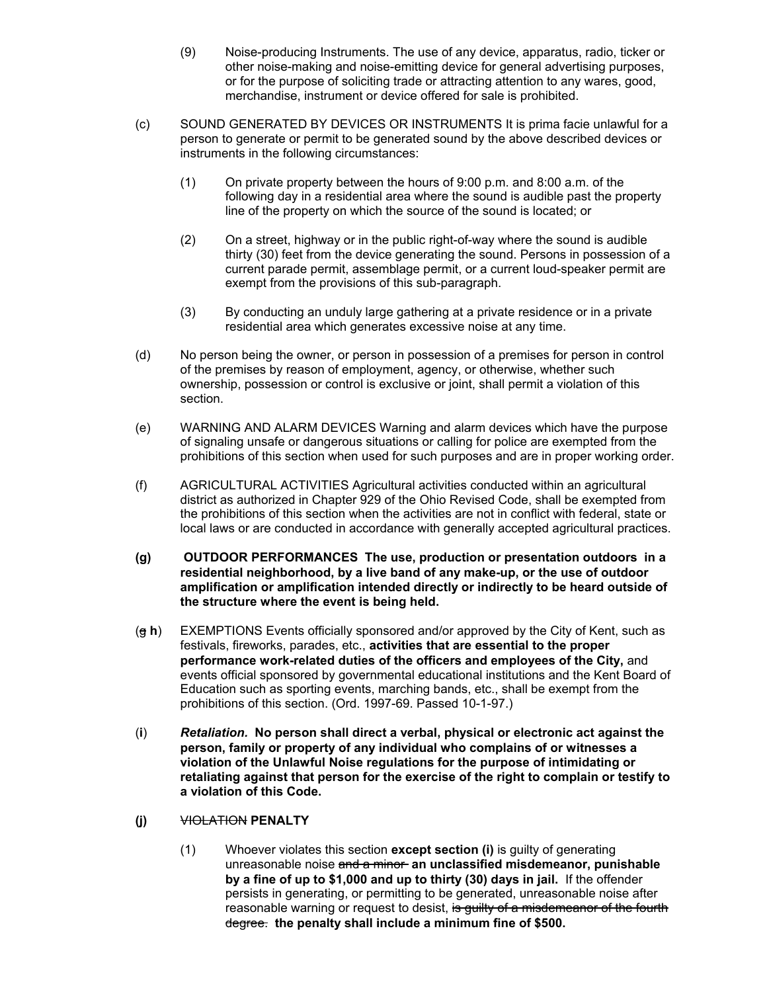- (9) Noise-producing Instruments. The use of any device, apparatus, radio, ticker or other noise-making and noise-emitting device for general advertising purposes, or for the purpose of soliciting trade or attracting attention to any wares, good, merchandise, instrument or device offered for sale is prohibited.
- (c) SOUND GENERATED BY DEVICES OR INSTRUMENTS It is prima facie unlawful for a person to generate or permit to be generated sound by the above described devices or instruments in the following circumstances:
	- (1) On private property between the hours of 9:00 p.m. and 8:00 a.m. of the following day in a residential area where the sound is audible past the property line of the property on which the source of the sound is located; or
	- (2) On a street, highway or in the public right-of-way where the sound is audible thirty (30) feet from the device generating the sound. Persons in possession of a current parade permit, assemblage permit, or a current loud-speaker permit are exempt from the provisions of this sub-paragraph.
	- (3) By conducting an unduly large gathering at a private residence or in a private residential area which generates excessive noise at any time.
- (d) No person being the owner, or person in possession of a premises for person in control of the premises by reason of employment, agency, or otherwise, whether such ownership, possession or control is exclusive or joint, shall permit a violation of this section.
- (e) WARNING AND ALARM DEVICES Warning and alarm devices which have the purpose of signaling unsafe or dangerous situations or calling for police are exempted from the prohibitions of this section when used for such purposes and are in proper working order.
- (f) AGRICULTURAL ACTIVITIES Agricultural activities conducted within an agricultural district as authorized in Chapter 929 of the Ohio Revised Code, shall be exempted from the prohibitions of this section when the activities are not in conflict with federal, state or local laws or are conducted in accordance with generally accepted agricultural practices.
- **(g) OUTDOOR PERFORMANCES The use, production or presentation outdoors in a residential neighborhood, by a live band of any make-up, or the use of outdoor amplification or amplification intended directly or indirectly to be heard outside of the structure where the event is being held.**
- (g **h**) EXEMPTIONS Events officially sponsored and/or approved by the City of Kent, such as festivals, fireworks, parades, etc., **activities that are essential to the proper performance work-related duties of the officers and employees of the City,** and events official sponsored by governmental educational institutions and the Kent Board of Education such as sporting events, marching bands, etc., shall be exempt from the prohibitions of this section. (Ord. 1997-69. Passed 10-1-97.)
- (**i**) *Retaliation.* **No person shall direct a verbal, physical or electronic act against the person, family or property of any individual who complains of or witnesses a violation of the Unlawful Noise regulations for the purpose of intimidating or retaliating against that person for the exercise of the right to complain or testify to a violation of this Code.**
- **(j)** VIOLATION **PENALTY**
	- (1) Whoever violates this section **except section (i)** is guilty of generating unreasonable noise and a minor **an unclassified misdemeanor, punishable by a fine of up to \$1,000 and up to thirty (30) days in jail.** If the offender persists in generating, or permitting to be generated, unreasonable noise after reasonable warning or request to desist, is guilty of a misdemeanor of the fourth degree. **the penalty shall include a minimum fine of \$500.**